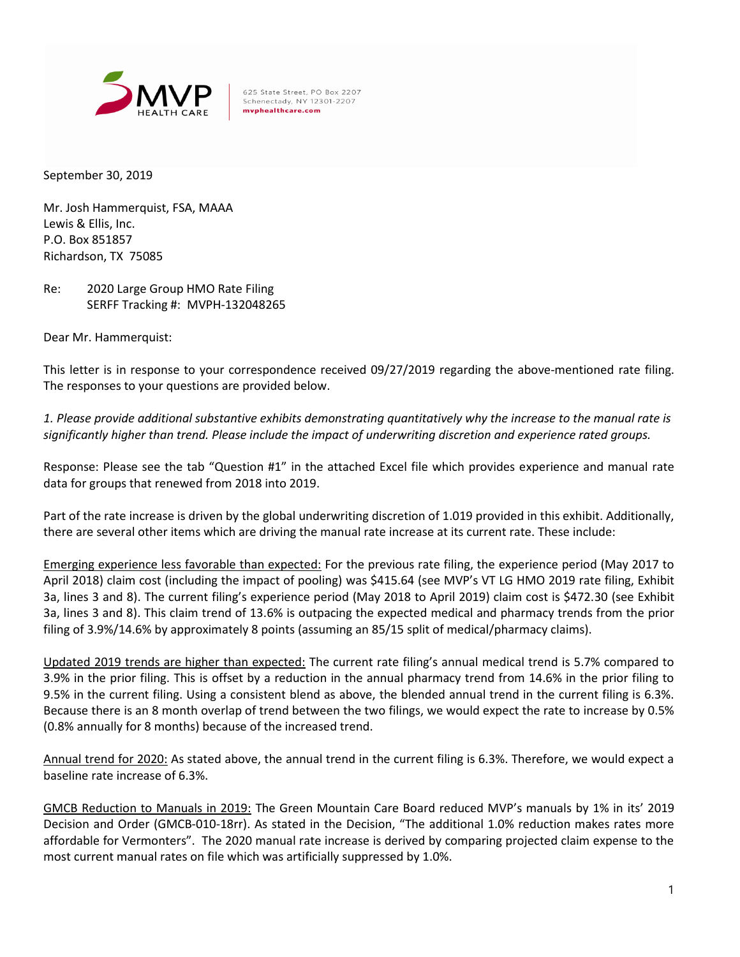

625 State Street, PO Box 2207 Schenectady, NY 12301-2207 mvphealthcare.com

September 30, 2019

Mr. Josh Hammerquist, FSA, MAAA Lewis & Ellis, Inc. P.O. Box 851857 Richardson, TX 75085

Re: 2020 Large Group HMO Rate Filing SERFF Tracking #: MVPH-132048265

Dear Mr. Hammerquist:

This letter is in response to your correspondence received 09/27/2019 regarding the above-mentioned rate filing. The responses to your questions are provided below.

*1. Please provide additional substantive exhibits demonstrating quantitatively why the increase to the manual rate is significantly higher than trend. Please include the impact of underwriting discretion and experience rated groups.*

Response: Please see the tab "Question #1" in the attached Excel file which provides experience and manual rate data for groups that renewed from 2018 into 2019.

Part of the rate increase is driven by the global underwriting discretion of 1.019 provided in this exhibit. Additionally, there are several other items which are driving the manual rate increase at its current rate. These include:

Emerging experience less favorable than expected: For the previous rate filing, the experience period (May 2017 to April 2018) claim cost (including the impact of pooling) was \$415.64 (see MVP's VT LG HMO 2019 rate filing, Exhibit 3a, lines 3 and 8). The current filing's experience period (May 2018 to April 2019) claim cost is \$472.30 (see Exhibit 3a, lines 3 and 8). This claim trend of 13.6% is outpacing the expected medical and pharmacy trends from the prior filing of 3.9%/14.6% by approximately 8 points (assuming an 85/15 split of medical/pharmacy claims).

Updated 2019 trends are higher than expected: The current rate filing's annual medical trend is 5.7% compared to 3.9% in the prior filing. This is offset by a reduction in the annual pharmacy trend from 14.6% in the prior filing to 9.5% in the current filing. Using a consistent blend as above, the blended annual trend in the current filing is 6.3%. Because there is an 8 month overlap of trend between the two filings, we would expect the rate to increase by 0.5% (0.8% annually for 8 months) because of the increased trend.

Annual trend for 2020: As stated above, the annual trend in the current filing is 6.3%. Therefore, we would expect a baseline rate increase of 6.3%.

GMCB Reduction to Manuals in 2019: The Green Mountain Care Board reduced MVP's manuals by 1% in its' 2019 Decision and Order (GMCB-010-18rr). As stated in the Decision, "The additional 1.0% reduction makes rates more affordable for Vermonters". The 2020 manual rate increase is derived by comparing projected claim expense to the most current manual rates on file which was artificially suppressed by 1.0%.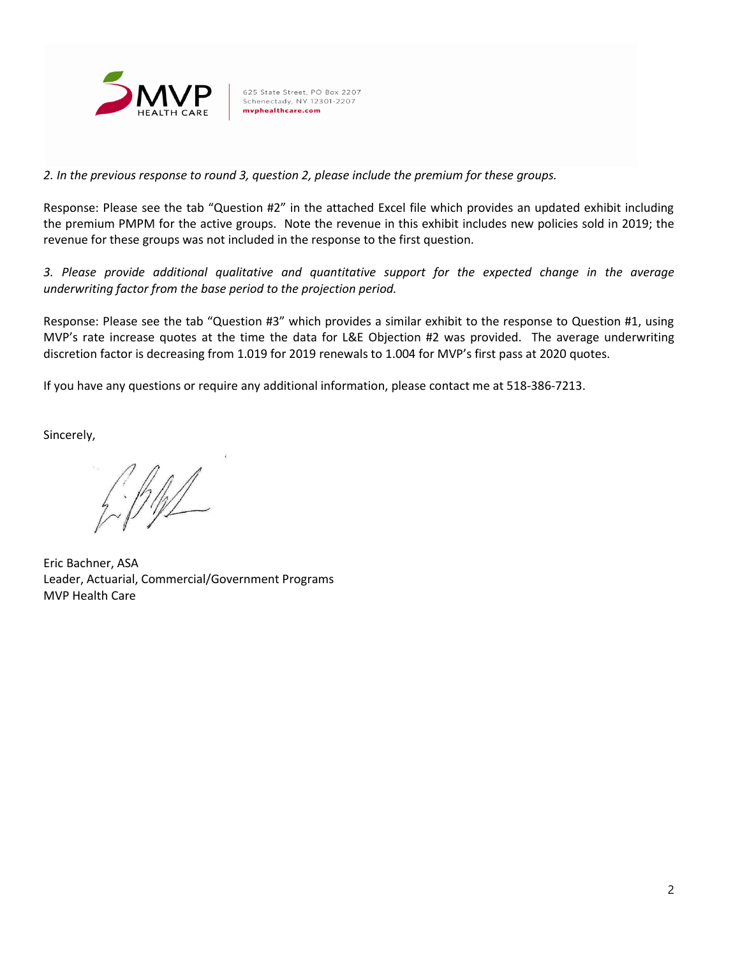

625 State Street, PO Box 2207 Schenectady, NY 12301-2207 mvphealthcare.com

*2. In the previous response to round 3, question 2, please include the premium for these groups.*

Response: Please see the tab "Question #2" in the attached Excel file which provides an updated exhibit including the premium PMPM for the active groups. Note the revenue in this exhibit includes new policies sold in 2019; the revenue for these groups was not included in the response to the first question.

*3. Please provide additional qualitative and quantitative support for the expected change in the average underwriting factor from the base period to the projection period.*

Response: Please see the tab "Question #3" which provides a similar exhibit to the response to Question #1, using MVP's rate increase quotes at the time the data for L&E Objection #2 was provided. The average underwriting discretion factor is decreasing from 1.019 for 2019 renewals to 1.004 for MVP's first pass at 2020 quotes.

If you have any questions or require any additional information, please contact me at 518-386-7213.

Sincerely,

 $f\cdot f\psi$ 

Eric Bachner, ASA Leader, Actuarial, Commercial/Government Programs MVP Health Care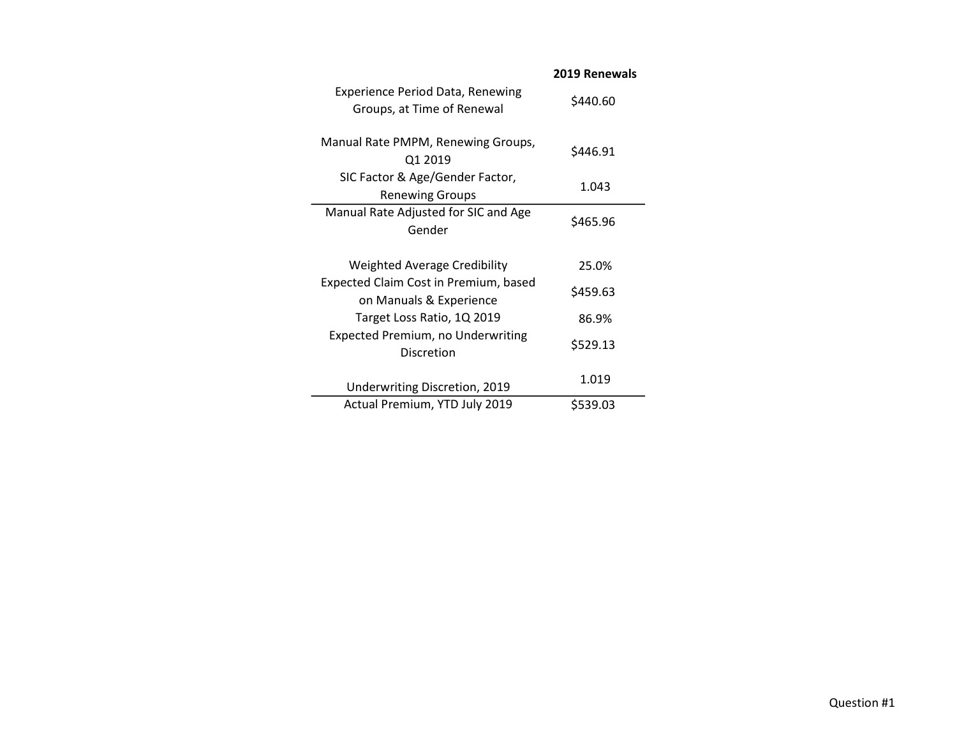| \$440.60 |
|----------|
|          |
| \$446.91 |
|          |
| 1.043    |
|          |
|          |
| \$465.96 |
|          |
|          |
| 25.0%    |
|          |
| \$459.63 |
| 86.9%    |
|          |
| \$529.13 |
|          |
| 1.019    |
|          |

## Question #1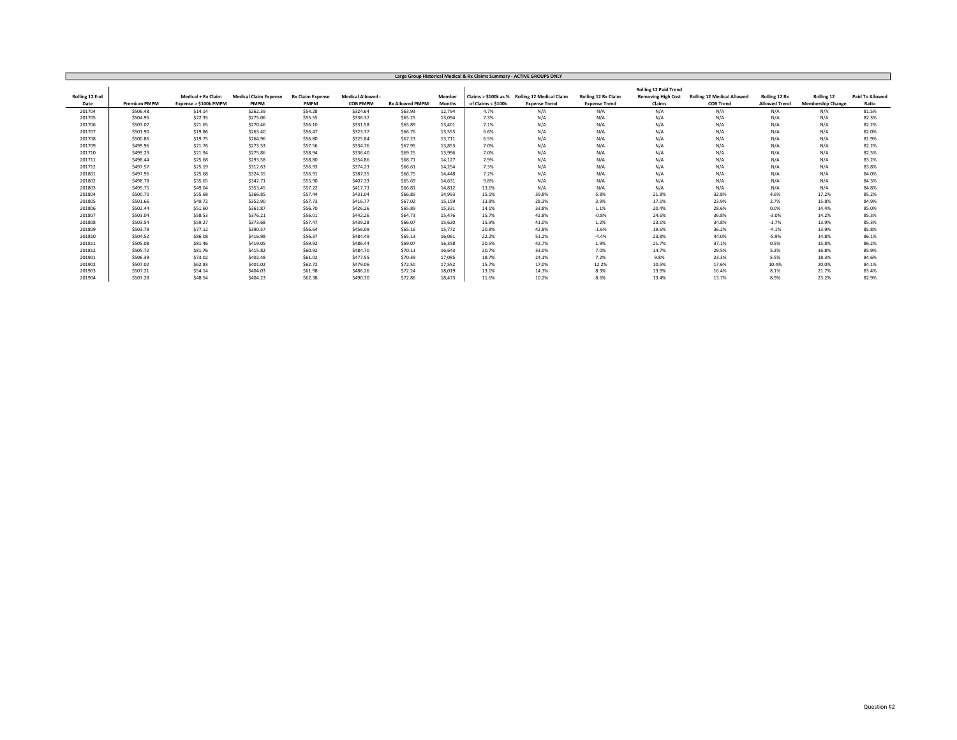| Large Group Historical Medical & Rx Claims Summary - ACTIVE GROUPS ONLY |                     |                       |                              |                         |                   |                        |               |                      |                                 |                      |                              |                                   |                      |                          |                        |
|-------------------------------------------------------------------------|---------------------|-----------------------|------------------------------|-------------------------|-------------------|------------------------|---------------|----------------------|---------------------------------|----------------------|------------------------------|-----------------------------------|----------------------|--------------------------|------------------------|
|                                                                         |                     |                       |                              |                         |                   |                        |               |                      |                                 |                      |                              |                                   |                      |                          |                        |
|                                                                         |                     |                       |                              |                         |                   |                        |               |                      |                                 |                      | <b>Rolling 12 Paid Trend</b> |                                   |                      |                          |                        |
| Rolling 12 End                                                          |                     | Medical + Rx Claim    | <b>Medical Claim Expense</b> | <b>Rx Claim Expense</b> | Medical Allowed - |                        | Member        | Claims > \$100k as % | <b>Rolling 12 Medical Claim</b> | Rolling 12 Rx Claim  | <b>Removing High Cost</b>    | <b>Rolling 12 Medical Allowed</b> | Rolling 12 Rx        | Rolling 12               | <b>Paid To Allowed</b> |
| Date                                                                    | <b>Premium PMPM</b> | Expense > \$100k PMPM | <b>PMPM</b>                  | PMPM                    | <b>COB PMPM</b>   | <b>Rx Allowed PMPM</b> | <b>Months</b> | of Claims < \$100k   | <b>Expense Trend</b>            | <b>Expense Trend</b> | Claims                       | <b>COB Trend</b>                  | <b>Allowed Trend</b> | <b>Membership Change</b> | Ratio                  |
| 201704                                                                  | \$506.48            | \$14.14               | \$262.39                     | \$54.28                 | \$324.64          | \$63.93                | 12,794        | 4.7%                 | N/A                             | N/A                  | N/A                          | N/A                               | N/A                  | N/A                      | 81.5%                  |
| 201705                                                                  | \$504.95            | \$22.35               | \$275.06                     | \$55.55                 | \$336.37          | \$65.25                | 13,094        | 7.3%                 | N/A                             | N/A                  | N/A                          | N/A                               | N/A                  | N/A                      | 82.3%                  |
| 201706                                                                  | \$503.07            | \$21.65               | \$270.46                     | \$56.10                 | \$331.58          | \$65.89                | 13,401        | 7.1%                 | N/A                             | N/A                  | N/A                          | N/A                               | N/A                  | N/A                      | 82.2%                  |
| 201707                                                                  | \$501.90            | \$19.86               | \$263.40                     | \$56.47                 | \$323.37          | \$66.76                | 13,555        | 6.6%                 | N/A                             | N/A                  | N/A                          | N/A                               | N/A                  | N/A                      | 82.0%                  |
| 201708                                                                  | \$500.86            | \$19.75               | \$264.96                     | \$56.80                 | \$325.84          | \$67.23                | 13.711        | 6.5%                 | N/A                             | N/A                  | N/A                          | N/A                               | N/A                  | N/A                      | 81.9%                  |
| 201709                                                                  | \$499.96            | \$21.76               | \$273.53                     | \$57.56                 | \$334.76          | \$67.95                | 13,853        | 7.0%                 | N/A                             | N/A                  | N/A                          | N/A                               | N/A                  | N/A                      | 82.2%                  |
| 201710                                                                  | \$499.23            | \$21.94               | \$275.86                     | \$58.94                 | \$336.40          | \$69.25                | 13.996        | 7.0%                 | N/A                             | N/A                  | N/A                          | N/A                               | N/A                  | N/A                      | 82.5%                  |
| 201711                                                                  | \$498.44            | \$25.68               | \$293.58                     | \$58.80                 | \$354.86          | \$68.71                | 14.127        | 7.9%                 | N/A                             | N/A                  | N/A                          | N/A                               | N/A                  | N/A                      | 83.2%                  |
| 201712                                                                  | \$497.57            | \$25.19               | \$312.63                     | \$56.93                 | \$374.23          | \$66.61                | 14.254        | 7.3%                 | N/A                             | N/A                  | N/A                          | N/A                               | N/A                  | N/A                      | 83.8%                  |
| 201801                                                                  | \$497.96            | \$25.68               | \$324.35                     | \$56.91                 | \$387.35          | \$66.75                | 14,448        | 7.2%                 | N/A                             | N/A                  | N/A                          | N/A                               | N/A                  | N/A                      | 84.0%                  |
| 201802                                                                  | \$498.78            | \$35.65               | \$342.71                     | \$55.90                 | \$407.33          | \$65.69                | 14,631        | 9.8%                 | N/A                             | N/A                  | N/A                          | N/A                               | N/A                  | N/A                      | 84.3%                  |
| 201803                                                                  | \$499.75            | \$49.04               | \$353.45                     | \$57.22                 | \$417.73          | \$66.81                | 14,812        | 13.6%                | N/A                             | N/A                  | N/A                          | N/A                               | N/A                  | N/A                      | 84.8%                  |
| 201804                                                                  | \$500.70            | \$55.68               | \$366.85                     | \$57.44                 | \$431.04          | \$66.89                | 14.993        | 15.1%                | 39.8%                           | 5.8%                 | 21.8%                        | 32.8%                             | 4.6%                 | 17.2%                    | 85.2%                  |
| 201805                                                                  | \$501.66            | \$49.72               | \$352.90                     | \$57.73                 | \$416.77          | \$67.02                | 15.159        | 13.8%                | 28.3%                           | 3.9%                 | 17.1%                        | 23.9%                             | 2.7%                 | 15.8%                    | 84.9%                  |
| 201806                                                                  | \$502.44            | \$51.60               | \$361.87                     | \$56.70                 | \$426.26          | \$65.89                | 15,331        | 14.1%                | 33.8%                           | 1.1%                 | 20.4%                        | 28.6%                             | 0.0%                 | 14.4%                    | 85.0%                  |
| 201807                                                                  | \$503.04            | \$58.53               | \$376.21                     | \$56.01                 | \$442.26          | \$64,73                | 15,476        | 15.7%                | 42.8%                           | $-0.8%$              | 24.6%                        | 36.8%                             | $-3.0%$              | 14.2%                    | 85.3%                  |
| 201808                                                                  | \$503.54            | \$59.27               | \$373.68                     | \$57.47                 | \$439.28          | \$66.07                | 15.620        | 15.9%                | 41.0%                           | 1.2%                 | 23.1%                        | 34.8%                             | $-1.7%$              | 13.9%                    | 85.3%                  |
| 201809                                                                  | \$503.78            | \$77.12               | \$390.57                     | \$56.64                 | \$456.09          | \$65.16                | 15.772        | 20.8%                | 42.8%                           | $-1.6%$              | 19.6%                        | 36.2%                             | $-4.1%$              | 13.9%                    | 85.8%                  |
| 201810                                                                  | \$504.52            | \$86.08               | \$416.98                     | \$56.37                 | \$484.49          | \$65.13                | 16,061        | 22.2%                | 51.2%                           | $-4.4%$              | 23.8%                        | 44.0%                             | $-5.9%$              | 14.8%                    | 86.1%                  |
| 201811                                                                  | \$505.08            | \$81.46               | \$419.05                     | \$59.92                 | \$486.44          | \$69.07                | 16.358        | 20.5%                | 42.7%                           | 1.9%                 | 21.7%                        | 37.1%                             | 0.5%                 | 15.8%                    | 86.2%                  |
| 201812                                                                  | \$505.72            | \$81.76               | \$415.82                     | \$60.92                 | \$484.70          | \$70.11                | 16.643        | 20.7%                | 33.0%                           | 7.0%                 | 14.7%                        | 29.5%                             | 5.2%                 | 16.8%                    | 85.9%                  |
| 201901                                                                  | \$506.39            | \$73.02               | \$402.48                     | \$61.02                 | \$477.55          | \$70.39                | 17.095        | 18.7%                | 24.1%                           | 7.2%                 | 9.8%                         | 23.3%                             | 5.5%                 | 18.3%                    | 84.6%                  |
| 201902                                                                  | \$507.02            | \$62.83               | \$401.02                     | \$62.72                 | \$479.06          | \$72.50                | 17,552        | 15.7%                | 17.0%                           | 12.2%                | 10.5%                        | 17.6%                             | 10.4%                | 20.0%                    | 84.1%                  |
| 201903                                                                  | \$507.21            | \$54.14               | \$404.03                     | \$61.98                 | \$486.26          | \$72.24                | 18,019        | 13.1%                | 14.3%                           | 8.3%                 | 13.9%                        | 16.4%                             | 8.1%                 | 21.7%                    | 83.4%                  |
| 201904                                                                  | \$507.28            | \$48.54               | \$404.23                     | \$62.38                 | \$490.30          | \$72.86                | 18.473        | 11.6%                | 10.2%                           | 8.6%                 | 13.4%                        | 13.7%                             | 8.9%                 | 23.2%                    | 82.9%                  |